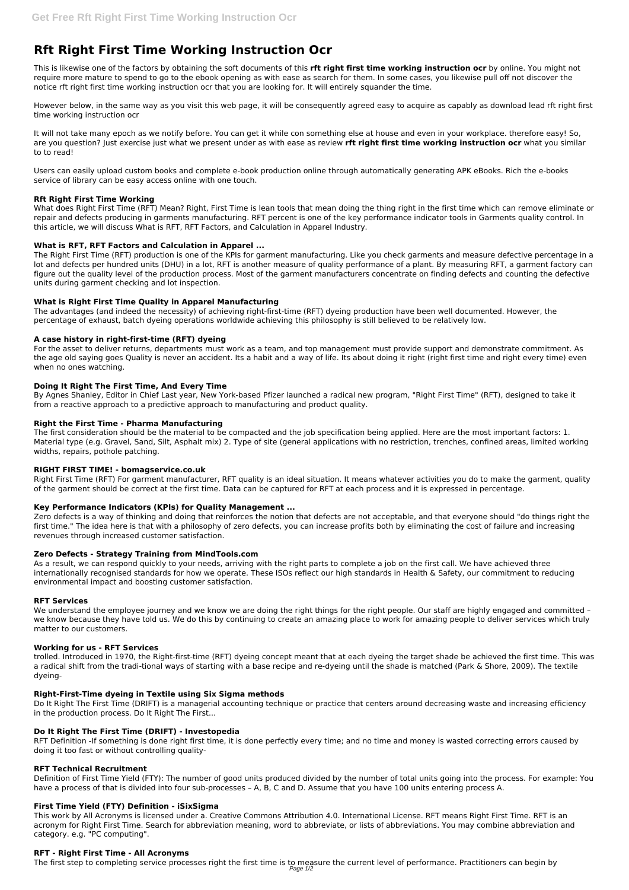# **Rft Right First Time Working Instruction Ocr**

This is likewise one of the factors by obtaining the soft documents of this **rft right first time working instruction ocr** by online. You might not require more mature to spend to go to the ebook opening as with ease as search for them. In some cases, you likewise pull off not discover the notice rft right first time working instruction ocr that you are looking for. It will entirely squander the time.

However below, in the same way as you visit this web page, it will be consequently agreed easy to acquire as capably as download lead rft right first time working instruction ocr

It will not take many epoch as we notify before. You can get it while con something else at house and even in your workplace. therefore easy! So, are you question? Just exercise just what we present under as with ease as review **rft right first time working instruction ocr** what you similar to to read!

Users can easily upload custom books and complete e-book production online through automatically generating APK eBooks. Rich the e-books service of library can be easy access online with one touch.

# **Rft Right First Time Working**

What does Right First Time (RFT) Mean? Right, First Time is lean tools that mean doing the thing right in the first time which can remove eliminate or repair and defects producing in garments manufacturing. RFT percent is one of the key performance indicator tools in Garments quality control. In this article, we will discuss What is RFT, RFT Factors, and Calculation in Apparel Industry.

# **What is RFT, RFT Factors and Calculation in Apparel ...**

The Right First Time (RFT) production is one of the KPIs for garment manufacturing. Like you check garments and measure defective percentage in a lot and defects per hundred units (DHU) in a lot, RFT is another measure of quality performance of a plant. By measuring RFT, a garment factory can figure out the quality level of the production process. Most of the garment manufacturers concentrate on finding defects and counting the defective units during garment checking and lot inspection.

# **What is Right First Time Quality in Apparel Manufacturing**

The advantages (and indeed the necessity) of achieving right-first-time (RFT) dyeing production have been well documented. However, the percentage of exhaust, batch dyeing operations worldwide achieving this philosophy is still believed to be relatively low.

We understand the employee journey and we know we are doing the right things for the right people. Our staff are highly engaged and committed we know because they have told us. We do this by continuing to create an amazing place to work for amazing people to deliver services which truly matter to our customers.

### **A case history in right-first-time (RFT) dyeing**

For the asset to deliver returns, departments must work as a team, and top management must provide support and demonstrate commitment. As the age old saying goes Quality is never an accident. Its a habit and a way of life. Its about doing it right (right first time and right every time) even when no ones watching.

### **Doing It Right The First Time, And Every Time**

By Agnes Shanley, Editor in Chief Last year, New York-based Pfizer launched a radical new program, "Right First Time" (RFT), designed to take it from a reactive approach to a predictive approach to manufacturing and product quality.

### **Right the First Time - Pharma Manufacturing**

The first step to completing service processes right the first time is to measure the current level of performance. Practitioners can begin by Page 1/2

The first consideration should be the material to be compacted and the job specification being applied. Here are the most important factors: 1. Material type (e.g. Gravel, Sand, Silt, Asphalt mix) 2. Type of site (general applications with no restriction, trenches, confined areas, limited working widths, repairs, pothole patching.

### **RIGHT FIRST TIME! - bomagservice.co.uk**

Right First Time (RFT) For garment manufacturer, RFT quality is an ideal situation. It means whatever activities you do to make the garment, quality of the garment should be correct at the first time. Data can be captured for RFT at each process and it is expressed in percentage.

### **Key Performance Indicators (KPIs) for Quality Management ...**

Zero defects is a way of thinking and doing that reinforces the notion that defects are not acceptable, and that everyone should "do things right the first time." The idea here is that with a philosophy of zero defects, you can increase profits both by eliminating the cost of failure and increasing revenues through increased customer satisfaction.

### **Zero Defects - Strategy Training from MindTools.com**

As a result, we can respond quickly to your needs, arriving with the right parts to complete a job on the first call. We have achieved three internationally recognised standards for how we operate. These ISOs reflect our high standards in Health & Safety, our commitment to reducing environmental impact and boosting customer satisfaction.

### **RFT Services**

### **Working for us - RFT Services**

trolled. Introduced in 1970, the Right-first-time (RFT) dyeing concept meant that at each dyeing the target shade be achieved the first time. This was a radical shift from the tradi-tional ways of starting with a base recipe and re-dyeing until the shade is matched (Park & Shore, 2009). The textile

dyeing-

### **Right-First-Time dyeing in Textile using Six Sigma methods**

Do It Right The First Time (DRIFT) is a managerial accounting technique or practice that centers around decreasing waste and increasing efficiency in the production process. Do It Right The First...

#### **Do It Right The First Time (DRIFT) - Investopedia**

RFT Definition -If something is done right first time, it is done perfectly every time; and no time and money is wasted correcting errors caused by doing it too fast or without controlling quality-

#### **RFT Technical Recruitment**

Definition of First Time Yield (FTY): The number of good units produced divided by the number of total units going into the process. For example: You have a process of that is divided into four sub-processes – A, B, C and D. Assume that you have 100 units entering process A.

#### **First Time Yield (FTY) Definition - iSixSigma**

This work by All Acronyms is licensed under a. Creative Commons Attribution 4.0. International License. RFT means Right First Time. RFT is an acronym for Right First Time. Search for abbreviation meaning, word to abbreviate, or lists of abbreviations. You may combine abbreviation and category. e.g. "PC computing".

#### **RFT - Right First Time - All Acronyms**